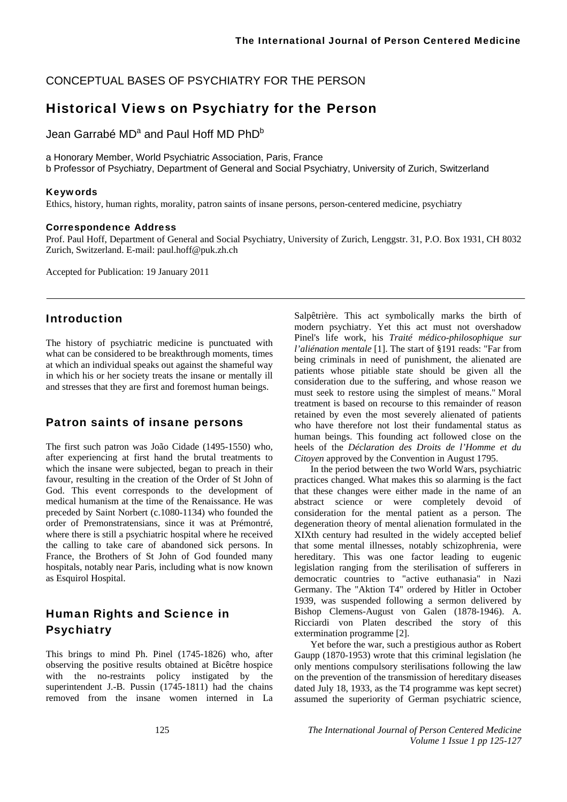CONCEPTUAL BASES OF PSYCHIATRY FOR THE PERSON

## Historical Views on Psychiatry for the Person

Jean Garrabé MD<sup>a</sup> and Paul Hoff MD PhD<sup>b</sup>

a Honorary Member, World Psychiatric Association, Paris, France

b Professor of Psychiatry, Department of General and Social Psychiatry, University of Zurich, Switzerland

#### Keywords

Ethics, history, human rights, morality, patron saints of insane persons, person-centered medicine, psychiatry

#### Correspondence Address

Prof. Paul Hoff, Department of General and Social Psychiatry, University of Zurich, Lenggstr. 31, P.O. Box 1931, CH 8032 Zurich, Switzerland. E-mail: paul.hoff@puk.zh.ch

Accepted for Publication: 19 January 2011

### Introduction

The history of psychiatric medicine is punctuated with what can be considered to be breakthrough moments, times at which an individual speaks out against the shameful way in which his or her society treats the insane or mentally ill and stresses that they are first and foremost human beings.

### Patron saints of insane persons

The first such patron was João Cidade (1495-1550) who, after experiencing at first hand the brutal treatments to which the insane were subjected, began to preach in their favour, resulting in the creation of the Order of St John of God. This event corresponds to the development of medical humanism at the time of the Renaissance. He was preceded by Saint Norbert (c.1080-1134) who founded the order of Premonstratensians, since it was at Prémontré, where there is still a psychiatric hospital where he received the calling to take care of abandoned sick persons. In France, the Brothers of St John of God founded many hospitals, notably near Paris, including what is now known as Esquirol Hospital.

# Human Rights and Science in **Psychiatry**

This brings to mind Ph. Pinel (1745-1826) who, after observing the positive results obtained at Bicêtre hospice with the no-restraints policy instigated by the superintendent J.-B. Pussin (1745-1811) had the chains removed from the insane women interned in La

Salpêtrière. This act symbolically marks the birth of modern psychiatry. Yet this act must not overshadow Pinel's life work, his *Traité médico-philosophique sur l'aliénation mentale* [1]. The start of §191 reads: "Far from being criminals in need of punishment, the alienated are patients whose pitiable state should be given all the consideration due to the suffering, and whose reason we must seek to restore using the simplest of means." Moral treatment is based on recourse to this remainder of reason retained by even the most severely alienated of patients who have therefore not lost their fundamental status as human beings. This founding act followed close on the heels of the *Déclaration des Droits de l'Homme et du Citoyen* approved by the Convention in August 1795.

In the period between the two World Wars, psychiatric practices changed. What makes this so alarming is the fact that these changes were either made in the name of an abstract science or were completely devoid of consideration for the mental patient as a person. The degeneration theory of mental alienation formulated in the XIXth century had resulted in the widely accepted belief that some mental illnesses, notably schizophrenia, were hereditary. This was one factor leading to eugenic legislation ranging from the sterilisation of sufferers in democratic countries to "active euthanasia" in Nazi Germany. The "Aktion T4" ordered by Hitler in October 1939, was suspended following a sermon delivered by Bishop Clemens-August von Galen (1878-1946). A. Ricciardi von Platen described the story of this extermination programme [2].

Yet before the war, such a prestigious author as Robert Gaupp (1870-1953) wrote that this criminal legislation (he only mentions compulsory sterilisations following the law on the prevention of the transmission of hereditary diseases dated July 18, 1933, as the T4 programme was kept secret) assumed the superiority of German psychiatric science,

125 *The International Journal of Person Centered Medicine Volume 1 Issue 1 pp 125-127*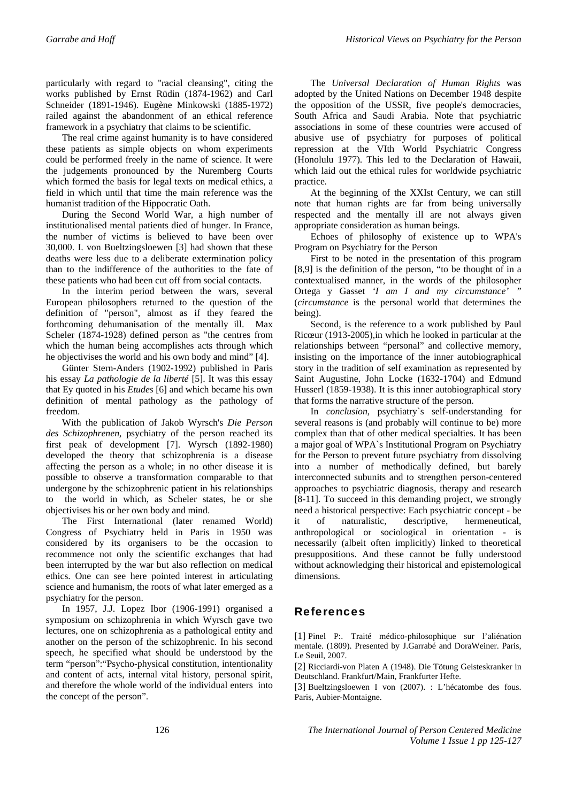particularly with regard to "racial cleansing", citing the works published by Ernst Rüdin (1874-1962) and Carl Schneider (1891-1946). Eugène Minkowski (1885-1972) railed against the abandonment of an ethical reference framework in a psychiatry that claims to be scientific.

The real crime against humanity is to have considered these patients as simple objects on whom experiments could be performed freely in the name of science. It were the judgements pronounced by the Nuremberg Courts which formed the basis for legal texts on medical ethics, a field in which until that time the main reference was the humanist tradition of the Hippocratic Oath.

During the Second World War, a high number of institutionalised mental patients died of hunger. In France, the number of victims is believed to have been over 30,000. I. von Bueltzingsloewen [3] had shown that these deaths were less due to a deliberate extermination policy than to the indifference of the authorities to the fate of these patients who had been cut off from social contacts.

In the interim period between the wars, several European philosophers returned to the question of the definition of "person", almost as if they feared the forthcoming dehumanisation of the mentally ill. Max Scheler (1874-1928) defined person as "the centres from which the human being accomplishes acts through which he objectivises the world and his own body and mind" [4].

Günter Stern-Anders (1902-1992) published in Paris his essay *La pathologie de la liberté* [5]. It was this essay that Ey quoted in his *Etudes* [6] and which became his own definition of mental pathology as the pathology of freedom.

With the publication of Jakob Wyrsch's *Die Person des Schizophrenen,* psychiatry of the person reached its first peak of development [7]. Wyrsch (1892-1980) developed the theory that schizophrenia is a disease affecting the person as a whole; in no other disease it is possible to observe a transformation comparable to that undergone by the schizophrenic patient in his relationships to the world in which, as Scheler states, he or she objectivises his or her own body and mind.

The First International (later renamed World) Congress of Psychiatry held in Paris in 1950 was considered by its organisers to be the occasion to recommence not only the scientific exchanges that had been interrupted by the war but also reflection on medical ethics. One can see here pointed interest in articulating science and humanism, the roots of what later emerged as a psychiatry for the person.

In 1957, J.J. Lopez Ibor (1906-1991) organised a symposium on schizophrenia in which Wyrsch gave two lectures, one on schizophrenia as a pathological entity and another on the person of the schizophrenic. In his second speech, he specified what should be understood by the term "person":"Psycho-physical constitution, intentionality and content of acts, internal vital history, personal spirit, and therefore the whole world of the individual enters into the concept of the person".

The *Universal Declaration of Human Rights* was adopted by the United Nations on December 1948 despite the opposition of the USSR, five people's democracies, South Africa and Saudi Arabia. Note that psychiatric associations in some of these countries were accused of abusive use of psychiatry for purposes of political repression at the VIth World Psychiatric Congress (Honolulu 1977). This led to the Declaration of Hawaii, which laid out the ethical rules for worldwide psychiatric practice*.* 

At the beginning of the XXIst Century, we can still note that human rights are far from being universally respected and the mentally ill are not always given appropriate consideration as human beings.

Echoes of philosophy of existence up to WPA's Program on Psychiatry for the Person

First to be noted in the presentation of this program [8,9] is the definition of the person, "to be thought of in a contextualised manner, in the words of the philosopher Ortega y Gasset *'I am I and my circumstance' "* (*circumstance* is the personal world that determines the being).

Second, is the reference to a work published by Paul Ricœur (1913-2005)*,*in which he looked in particular at the relationships between "personal" and collective memory, insisting on the importance of the inner autobiographical story in the tradition of self examination as represented by Saint Augustine, John Locke (1632-1704) and Edmund Husserl (1859-1938). It is this inner autobiographical story that forms the narrative structure of the person.

In *conclusion*, psychiatry`s self-understanding for several reasons is (and probably will continue to be) more complex than that of other medical specialties. It has been a major goal of WPA`s Institutional Program on Psychiatry for the Person to prevent future psychiatry from dissolving into a number of methodically defined, but barely interconnected subunits and to strengthen person-centered approaches to psychiatric diagnosis, therapy and research [8-11]. To succeed in this demanding project, we strongly need a historical perspective: Each psychiatric concept - be it of naturalistic, descriptive, hermeneutical, anthropological or sociological in orientation - is necessarily (albeit often implicitly) linked to theoretical presuppositions. And these cannot be fully understood without acknowledging their historical and epistemological dimensions.

## References

[1] Pinel P:. Traité médico-philosophique sur l'aliénation mentale. (1809). Presented by J.Garrabé and DoraWeiner. Paris, Le Seuil, 2007.

[2] Ricciardi-von Platen A (1948). Die Tötung Geisteskranker in Deutschland. Frankfurt/Main, Frankfurter Hefte.

[3] Bueltzingsloewen I von (2007). : L'hécatombe des fous. Paris, Aubier-Montaigne.

126 *The International Journal of Person Centered Medicine Volume 1 Issue 1 pp 125-127*